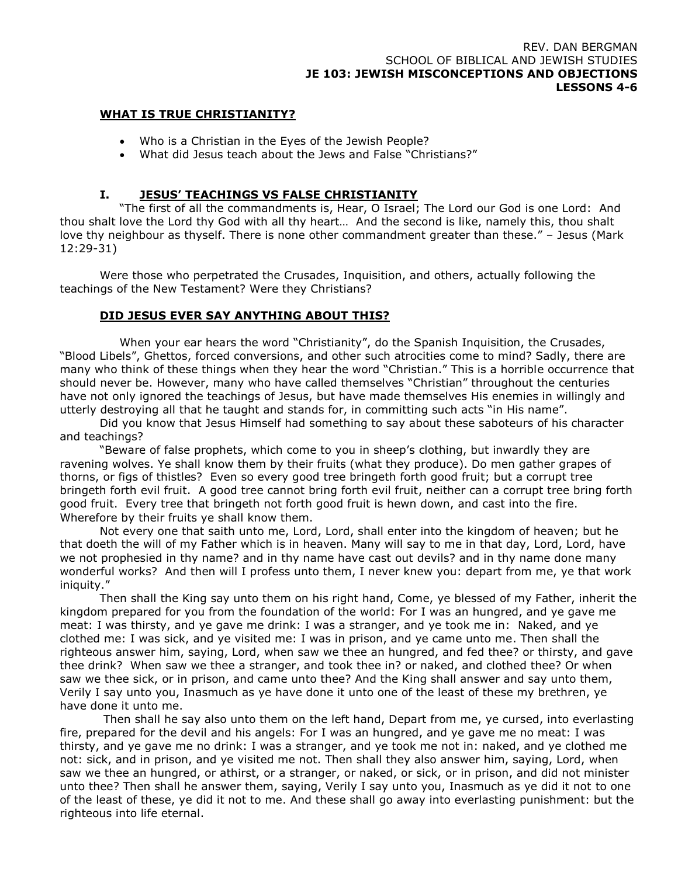#### REV. DAN BERGMAN SCHOOL OF BIBLICAL AND JEWISH STUDIES **JE 103: JEWISH MISCONCEPTIONS AND OBJECTIONS LESSONS 4-6**

#### **WHAT IS TRUE CHRISTIANITY?**

- Who is a Christian in the Eyes of the Jewish People?
- What did Jesus teach about the Jews and False "Christians?"

### **I. JESUS' TEACHINGS VS FALSE CHRISTIANITY**

"The first of all the commandments is, Hear, O Israel; The Lord our God is one Lord: And thou shalt love the Lord thy God with all thy heart… And the second is like, namely this, thou shalt love thy neighbour as thyself. There is none other commandment greater than these." – Jesus (Mark 12:29-31)

Were those who perpetrated the Crusades, Inquisition, and others, actually following the teachings of the New Testament? Were they Christians?

#### **DID JESUS EVER SAY ANYTHING ABOUT THIS?**

When your ear hears the word "Christianity", do the Spanish Inquisition, the Crusades, "Blood Libels", Ghettos, forced conversions, and other such atrocities come to mind? Sadly, there are many who think of these things when they hear the word "Christian." This is a horrible occurrence that should never be. However, many who have called themselves "Christian" throughout the centuries have not only ignored the teachings of Jesus, but have made themselves His enemies in willingly and utterly destroying all that he taught and stands for, in committing such acts "in His name".

Did you know that Jesus Himself had something to say about these saboteurs of his character and teachings?

"Beware of false prophets, which come to you in sheep's clothing, but inwardly they are ravening wolves. Ye shall know them by their fruits (what they produce). Do men gather grapes of thorns, or figs of thistles? Even so every good tree bringeth forth good fruit; but a corrupt tree bringeth forth evil fruit. A good tree cannot bring forth evil fruit, neither can a corrupt tree bring forth good fruit. Every tree that bringeth not forth good fruit is hewn down, and cast into the fire. Wherefore by their fruits ye shall know them.

Not every one that saith unto me, Lord, Lord, shall enter into the kingdom of heaven; but he that doeth the will of my Father which is in heaven. Many will say to me in that day, Lord, Lord, have we not prophesied in thy name? and in thy name have cast out devils? and in thy name done many wonderful works? And then will I profess unto them, I never knew you: depart from me, ye that work iniquity."

Then shall the King say unto them on his right hand, Come, ye blessed of my Father, inherit the kingdom prepared for you from the foundation of the world: For I was an hungred, and ye gave me meat: I was thirsty, and ye gave me drink: I was a stranger, and ye took me in: Naked, and ye clothed me: I was sick, and ye visited me: I was in prison, and ye came unto me. Then shall the righteous answer him, saying, Lord, when saw we thee an hungred, and fed thee? or thirsty, and gave thee drink? When saw we thee a stranger, and took thee in? or naked, and clothed thee? Or when saw we thee sick, or in prison, and came unto thee? And the King shall answer and say unto them, Verily I say unto you, Inasmuch as ye have done it unto one of the least of these my brethren, ye have done it unto me.

Then shall he say also unto them on the left hand, Depart from me, ye cursed, into everlasting fire, prepared for the devil and his angels: For I was an hungred, and ye gave me no meat: I was thirsty, and ye gave me no drink: I was a stranger, and ye took me not in: naked, and ye clothed me not: sick, and in prison, and ye visited me not. Then shall they also answer him, saying, Lord, when saw we thee an hungred, or athirst, or a stranger, or naked, or sick, or in prison, and did not minister unto thee? Then shall he answer them, saying, Verily I say unto you, Inasmuch as ye did it not to one of the least of these, ye did it not to me. And these shall go away into everlasting punishment: but the righteous into life eternal.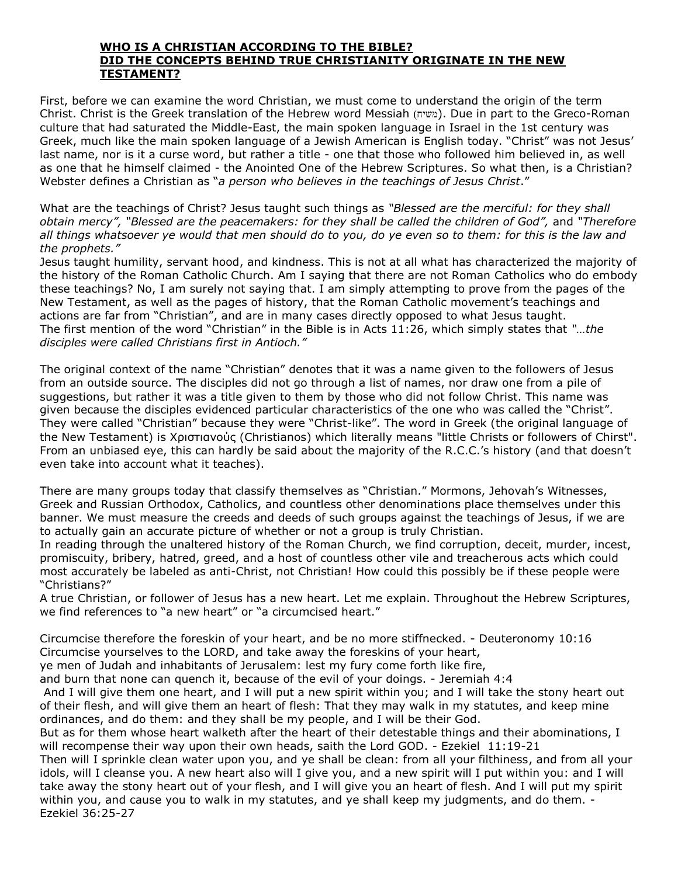#### **WHO IS A CHRISTIAN ACCORDING TO THE BIBLE? DID THE CONCEPTS BEHIND TRUE CHRISTIANITY ORIGINATE IN THE NEW TESTAMENT?**

First, before we can examine the word Christian, we must come to understand the origin of the term Christ. Christ is the Greek translation of the Hebrew word Messiah )משיח(. Due in part to the Greco-Roman culture that had saturated the Middle-East, the main spoken language in Israel in the 1st century was Greek, much like the main spoken language of a Jewish American is English today. "Christ" was not Jesus' last name, nor is it a curse word, but rather a title - one that those who followed him believed in, as well as one that he himself claimed - the Anointed One of the Hebrew Scriptures. So what then, is a Christian? Webster defines a Christian as "*a person who believes in the teachings of Jesus Christ*."

What are the teachings of Christ? Jesus taught such things as *"Blessed are the merciful: for they shall obtain mercy", "Blessed are the peacemakers: for they shall be called the children of God",* and *"Therefore all things whatsoever ye would that men should do to you, do ye even so to them: for this is the law and the prophets."*

Jesus taught humility, servant hood, and kindness. This is not at all what has characterized the majority of the history of the Roman Catholic Church. Am I saying that there are not Roman Catholics who do embody these teachings? No, I am surely not saying that. I am simply attempting to prove from the pages of the New Testament, as well as the pages of history, that the Roman Catholic movement's teachings and actions are far from "Christian", and are in many cases directly opposed to what Jesus taught. The first mention of the word "Christian" in the Bible is in Acts 11:26, which simply states that *"…the disciples were called Christians first in Antioch."*

The original context of the name "Christian" denotes that it was a name given to the followers of Jesus from an outside source. The disciples did not go through a list of names, nor draw one from a pile of suggestions, but rather it was a title given to them by those who did not follow Christ. This name was given because the disciples evidenced particular characteristics of the one who was called the "Christ". They were called "Christian" because they were "Christ-like". The word in Greek (the original language of the New Testament) is Χριστιανούς (Christianos) which literally means "little Christs or followers of Chirst". From an unbiased eye, this can hardly be said about the majority of the R.C.C.'s history (and that doesn't even take into account what it teaches).

There are many groups today that classify themselves as "Christian." Mormons, Jehovah's Witnesses, Greek and Russian Orthodox, Catholics, and countless other denominations place themselves under this banner. We must measure the creeds and deeds of such groups against the teachings of Jesus, if we are to actually gain an accurate picture of whether or not a group is truly Christian.

In reading through the unaltered history of the Roman Church, we find corruption, deceit, murder, incest, promiscuity, bribery, hatred, greed, and a host of countless other vile and treacherous acts which could most accurately be labeled as anti-Christ, not Christian! How could this possibly be if these people were "Christians?"

A true Christian, or follower of Jesus has a new heart. Let me explain. Throughout the Hebrew Scriptures, we find references to "a new heart" or "a circumcised heart."

Circumcise therefore the foreskin of your heart, and be no more stiffnecked. - Deuteronomy 10:16 Circumcise yourselves to the LORD, and take away the foreskins of your heart,

ye men of Judah and inhabitants of Jerusalem: lest my fury come forth like fire,

and burn that none can quench it, because of the evil of your doings. - Jeremiah 4:4

And I will give them one heart, and I will put a new spirit within you; and I will take the stony heart out of their flesh, and will give them an heart of flesh: That they may walk in my statutes, and keep mine ordinances, and do them: and they shall be my people, and I will be their God.

But as for them whose heart walketh after the heart of their detestable things and their abominations, I will recompense their way upon their own heads, saith the Lord GOD. - Ezekiel 11:19-21

Then will I sprinkle clean water upon you, and ye shall be clean: from all your filthiness, and from all your idols, will I cleanse you. A new heart also will I give you, and a new spirit will I put within you: and I will take away the stony heart out of your flesh, and I will give you an heart of flesh. And I will put my spirit within you, and cause you to walk in my statutes, and ye shall keep my judgments, and do them. - Ezekiel 36:25-27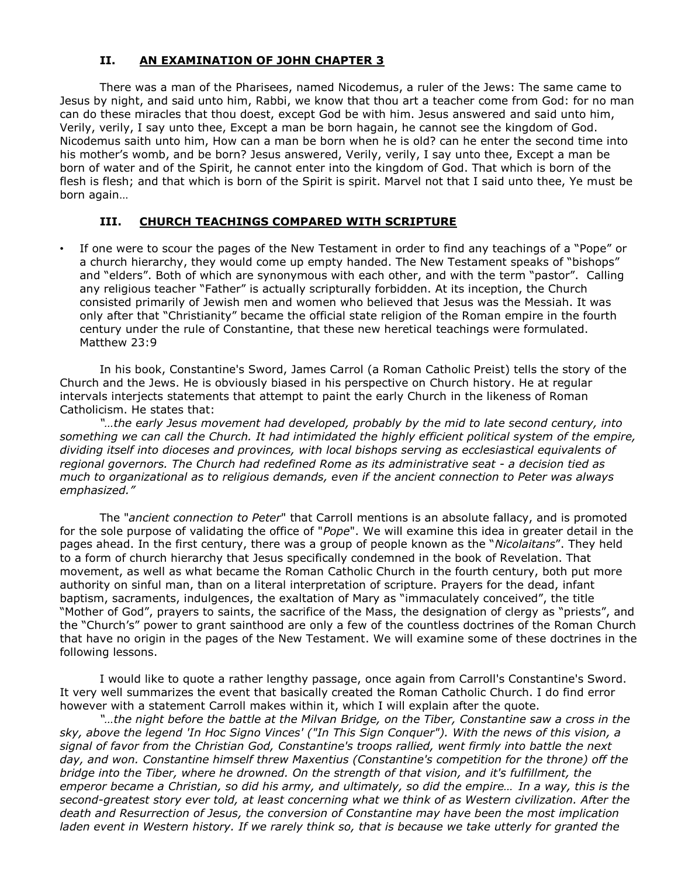# **II. AN EXAMINATION OF JOHN CHAPTER 3**

There was a man of the Pharisees, named Nicodemus, a ruler of the Jews: The same came to Jesus by night, and said unto him, Rabbi, we know that thou art a teacher come from God: for no man can do these miracles that thou doest, except God be with him. Jesus answered and said unto him, Verily, verily, I say unto thee, Except a man be born hagain, he cannot see the kingdom of God. Nicodemus saith unto him, How can a man be born when he is old? can he enter the second time into his mother's womb, and be born? Jesus answered, Verily, verily, I say unto thee, Except a man be born of water and of the Spirit, he cannot enter into the kingdom of God. That which is born of the flesh is flesh; and that which is born of the Spirit is spirit. Marvel not that I said unto thee, Ye must be born again…

## **III. CHURCH TEACHINGS COMPARED WITH SCRIPTURE**

• If one were to scour the pages of the New Testament in order to find any teachings of a "Pope" or a church hierarchy, they would come up empty handed. The New Testament speaks of "bishops" and "elders". Both of which are synonymous with each other, and with the term "pastor". Calling any religious teacher "Father" is actually scripturally forbidden. At its inception, the Church consisted primarily of Jewish men and women who believed that Jesus was the Messiah. It was only after that "Christianity" became the official state religion of the Roman empire in the fourth century under the rule of Constantine, that these new heretical teachings were formulated. Matthew 23:9

In his book, Constantine's Sword, James Carrol (a Roman Catholic Preist) tells the story of the Church and the Jews. He is obviously biased in his perspective on Church history. He at regular intervals interjects statements that attempt to paint the early Church in the likeness of Roman Catholicism. He states that:

*"…the early Jesus movement had developed, probably by the mid to late second century, into something we can call the Church. It had intimidated the highly efficient political system of the empire, dividing itself into dioceses and provinces, with local bishops serving as ecclesiastical equivalents of regional governors. The Church had redefined Rome as its administrative seat - a decision tied as much to organizational as to religious demands, even if the ancient connection to Peter was always emphasized."*

The "*ancient connection to Peter*" that Carroll mentions is an absolute fallacy, and is promoted for the sole purpose of validating the office of "*Pope*". We will examine this idea in greater detail in the pages ahead. In the first century, there was a group of people known as the "*Nicolaitans*". They held to a form of church hierarchy that Jesus specifically condemned in the book of Revelation. That movement, as well as what became the Roman Catholic Church in the fourth century, both put more authority on sinful man, than on a literal interpretation of scripture. Prayers for the dead, infant baptism, sacraments, indulgences, the exaltation of Mary as "immaculately conceived", the title "Mother of God", prayers to saints, the sacrifice of the Mass, the designation of clergy as "priests", and the "Church's" power to grant sainthood are only a few of the countless doctrines of the Roman Church that have no origin in the pages of the New Testament. We will examine some of these doctrines in the following lessons.

I would like to quote a rather lengthy passage, once again from Carroll's Constantine's Sword. It very well summarizes the event that basically created the Roman Catholic Church. I do find error however with a statement Carroll makes within it, which I will explain after the quote.

*"…the night before the battle at the Milvan Bridge, on the Tiber, Constantine saw a cross in the sky, above the legend 'In Hoc Signo Vinces' ("In This Sign Conquer"). With the news of this vision, a signal of favor from the Christian God, Constantine's troops rallied, went firmly into battle the next day, and won. Constantine himself threw Maxentius (Constantine's competition for the throne) off the bridge into the Tiber, where he drowned. On the strength of that vision, and it's fulfillment, the emperor became a Christian, so did his army, and ultimately, so did the empire… In a way, this is the second-greatest story ever told, at least concerning what we think of as Western civilization. After the death and Resurrection of Jesus, the conversion of Constantine may have been the most implication laden event in Western history. If we rarely think so, that is because we take utterly for granted the*